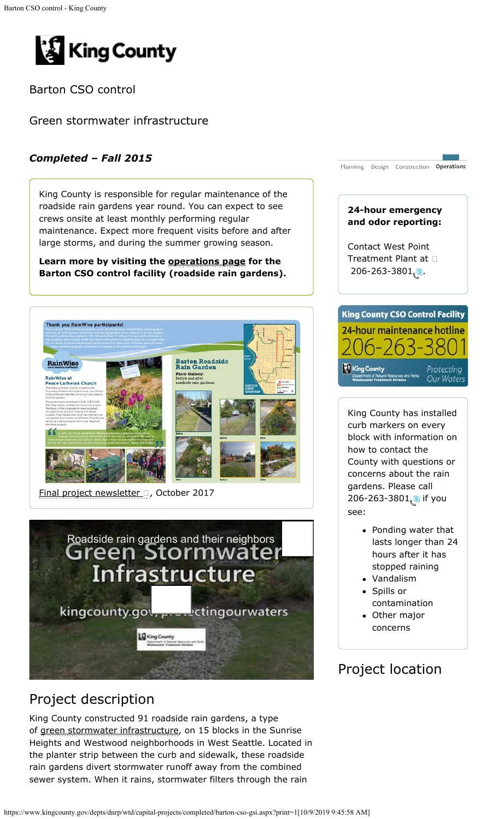<span id="page-0-0"></span>

Barton CSO control

Green stormwater infrastructure

### *Completed – Fall 2015*

King County is responsible for regular maintenance of the roadside rain gardens year round. You can expect to see crews onsite at least monthly performing regular maintenance. Expect more frequent visits before and after large storms, and during the summer growing season.

**Learn more by visiting the [operations page](https://kingcounty.gov/services/environment/wastewater/cso/barton-roadside-gardens.aspx) for the Barton CSO control facility (roadside rain gardens).**



[Final project newsletter](https://www.kingcounty.gov/~/media/depts/dnrp/wtd/capital-projects/COMPLETED/BartonCSO/docs/1710_BartonCSOnews.ashx?la=en) a, October 2017



# Project description

King County constructed 91 roadside rain gardens, a type of [green stormwater infrastructure,](https://www.kingcounty.gov/services/environment/wastewater/cso/about/natural.aspx) on 15 blocks in the Sunrise Heights and Westwood neighborhoods in West Seattle. Located in the planter strip between the curb and sidewalk, these roadside rain gardens divert stormwater runoff away from the combined sewer system. When it rains, stormwater filters through the rain



King County has installed curb markers on every block with information on how to contact the County with questions or concerns about the rain gardens. Please call 206-263-3801sif you see:

- Ponding water that lasts longer than 24 hours after it has stopped raining
- Vandalism Spills or contamination
- Other major concerns

# Project location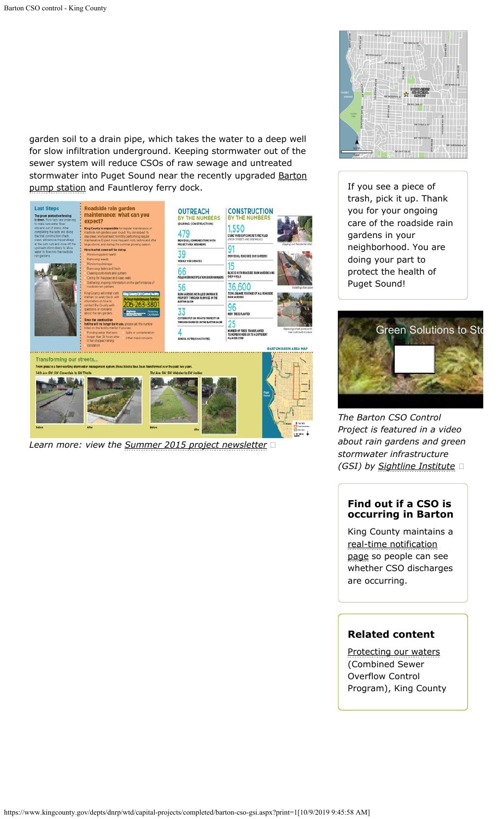garden soil to a drain pipe, which takes the water to a deep well for slow infiltration underground. Keeping stormwater out of the sewer system will reduce CSOs of raw sewage and untreated stormwater into Puget Sound near the recently upgraded [Barton](https://www.kingcounty.gov/depts/dnrp/wtd/capital-projects/completed/barton-street.aspx) [pump station](https://www.kingcounty.gov/depts/dnrp/wtd/capital-projects/completed/barton-street.aspx) and Fauntleroy ferry dock.



*Learn more: view the [Summer 2015 project newsletter](https://www.kingcounty.gov/~/media/depts/dnrp/wtd/capital-projects/COMPLETED/BartonCSO/docs/1508_BartonCSOnews.ashx?la=en)*



If you see a piece of trash, pick it up. Thank you for your ongoing care of the roadside rain gardens in your neighborhood. You are doing your part to protect the health of Puget Sound!



*The Barton CSO Control Project is featured in a video about rain gardens and green stormwater infrastructure (GSI) by [Sightline Institute](http://www.sightline.org/2015/10/28/video-how-you-can-be-part-of-the-stormwater-solution/)*

#### **Find out if a CSO is occurring in Barton**

King County maintains a [real-time notification](https://www.kingcounty.gov/services/environment/wastewater/cso-status.aspx) [page](https://www.kingcounty.gov/services/environment/wastewater/cso-status.aspx) so people can see whether CSO discharges are occurring.

#### **Related content**

[Protecting our waters](https://www.kingcounty.gov/services/environment/wastewater/cso.aspx) (Combined Sewer Overflow Control Program), King County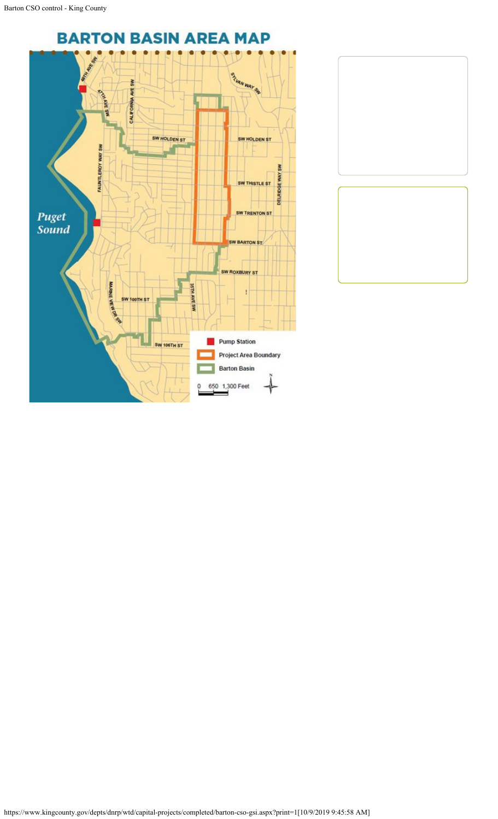

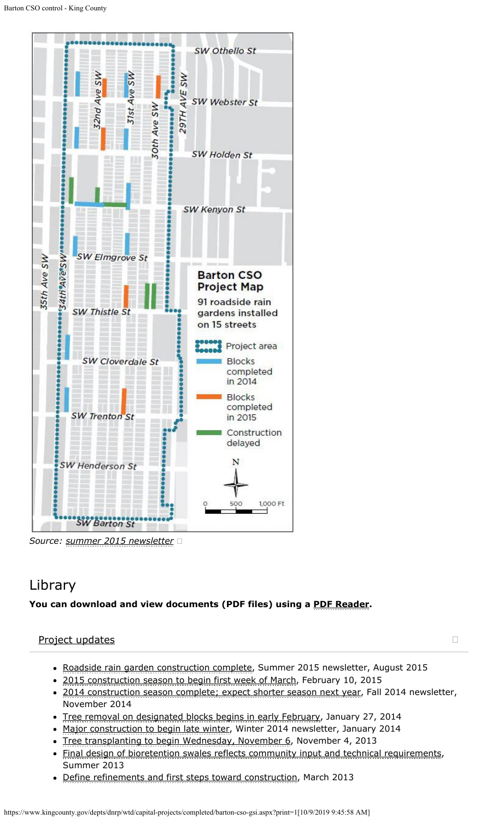

*Source: [summer 2015 newsletter](https://www.kingcounty.gov/~/media/depts/dnrp/wtd/capital-projects/COMPLETED/BartonCSO/docs/1508_BartonCSOnews.ashx?la=en)*

# Library

#### **You can download and view documents (PDF files) using a [PDF Reader](https://www.kingcounty.gov/about/softwareHelp.aspx).**

#### [Project updates](#page-4-0)

- Roadside [rain garden construction complete](https://www.kingcounty.gov/~/media/depts/dnrp/wtd/capital-projects/COMPLETED/BartonCSO/docs/1508_BartonCSOnews.ashx?la=en), Summer 2015 newsletter, August 2015
- [2015 construction season to begin first week of March,](https://www.kingcounty.gov/~/media/depts/dnrp/wtd/capital-projects/COMPLETED/BartonCSO/docs/150210_BartonCSO-update.ashx?la=en) February 10, 2015
- [2014 construction season complete; expect shorter season next year](https://www.kingcounty.gov/~/media/depts/dnrp/wtd/capital-projects/COMPLETED/BartonCSO/docs/09-14/1411_BartonCSOnews.ashx?la=en), Fall 2014 newsletter, November 2014
- [Tree removal on designated blocks begins in early February](https://www.kingcounty.gov/~/media/depts/dnrp/wtd/capital-projects/COMPLETED/BartonCSO/docs/09-14/140127_BartonCSO_TreeRemoval.ashx?la=en), January 27, 2014
- [Major construction to begin late winter](https://www.kingcounty.gov/~/media/depts/dnrp/wtd/capital-projects/COMPLETED/BartonCSO/docs/09-14/1401_WinterNewsletter.ashx?la=en), Winter 2014 newsletter, January 2014
- [Tree transplanting to begin Wednesday, November 6](https://www.kingcounty.gov/~/media/depts/dnrp/wtd/capital-projects/COMPLETED/BartonCSO/docs/09-14/131104_TreeTransplant_BartonCSO.ashx?la=en), November 4, 2013
- [Final design of bioretention swales reflects community input and technical requirements](https://www.kingcounty.gov/~/media/depts/dnrp/wtd/capital-projects/COMPLETED/BartonCSO/docs/09-14/1306_BartonCSOcontrolNews.ashx?la=en), Summer 2013
- [Define refinements and first steps toward construction](https://www.kingcounty.gov/~/media/depts/dnrp/wtd/capital-projects/COMPLETED/BartonCSO/docs/09-14/1303_BartonCSO-GSI_ProjectUpdate.ashx?la=en), March 2013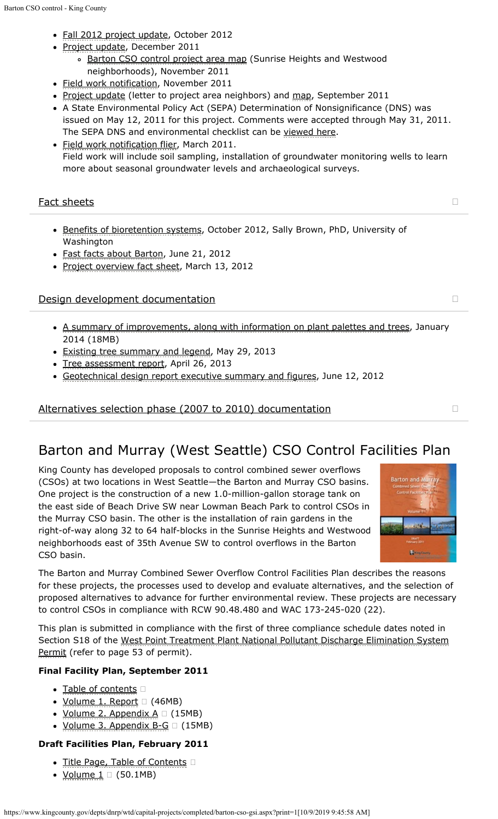- <span id="page-4-0"></span>• [Fall 2012 project update](https://www.kingcounty.gov/~/media/depts/dnrp/wtd/capital-projects/COMPLETED/BartonCSO/docs/09-14/1209_BartonCSO-GSI_Newsletter.ashx?la=en), October 2012
- · [Project update](https://www.kingcounty.gov/~/media/depts/dnrp/wtd/capital-projects/COMPLETED/BartonCSO/docs/09-14/1112_BartonCSO_GSI_Update.ashx?la=en), December 2011
	- o [Barton CSO control project area map](https://www.kingcounty.gov/~/media/depts/dnrp/wtd/capital-projects/COMPLETED/BartonCSO/docs/09-14/1112_BartonGWmap_AREA.ashx?la=en) (Sunrise Heights and Westwood neighborhoods), November 2011
- [Field work notification](https://www.kingcounty.gov/~/media/depts/dnrp/wtd/capital-projects/COMPLETED/BartonCSO/docs/09-14/1111_BartonCSO_GSI_FieldNotice_Nov2011.ashx?la=en), November 2011
- [Project update](https://www.kingcounty.gov/~/media/depts/dnrp/wtd/capital-projects/COMPLETED/BartonCSO/docs/09-14/110906_BartonCSO_GSICommLetter.ashx?la=en) (letter to project area neighbors) and [map](https://www.kingcounty.gov/~/media/depts/dnrp/wtd/capital-projects/COMPLETED/BartonCSO/docs/09-14/1109_BartonCSO_GSImap.ashx?la=en), September 2011
- A State Environmental Policy Act (SEPA) Determination of Nonsignificance (DNS) was issued on May 12, 2011 for this project. Comments were accepted through May 31, 2011. The SEPA DNS and environmental checklist can be [viewed here](https://your.kingcounty.gov/dnrp/library/wastewater/wtd/construction/CSOBeach/Barton/110512_Barton_SEPA_DNS_and_Checklist.pdf).
- · [Field work notification flier](https://www.kingcounty.gov/~/media/depts/dnrp/wtd/capital-projects/COMPLETED/BartonCSO/docs/09-14/1103_FieldWorkNotificationCS0_GSI.ashx?la=en), March 2011. Field work will include soil sampling, installation of groundwater monitoring wells to learn more about seasonal groundwater levels and archaeological surveys.

#### <span id="page-4-1"></span>[Fact sheets](#page-4-1) **Fact sheets**

- [Benefits of bioretention systems](https://www.kingcounty.gov/~/media/depts/dnrp/wtd/capital-projects/COMPLETED/BartonCSO/docs/09-14/1210_BartonCSO_BenefitsBioretentionSystems.ashx?la=en), October 2012, Sally Brown, PhD, University of Washington
- [Fast facts about Barton](https://www.kingcounty.gov/~/media/depts/dnrp/wtd/capital-projects/COMPLETED/BartonCSO/docs/09-14/120621_BartonCSO-GSIFastFacts.ashx?la=en), June 21, 2012
- [Project overview fact sheet](https://www.kingcounty.gov/~/media/depts/dnrp/wtd/capital-projects/COMPLETED/BartonCSO/docs/09-14/1203_BartonCSO-GSI_FactSheet.ashx?la=en), March 13, 2012

#### <span id="page-4-2"></span>[Design development documentation](#page-4-2)

- [A summary of improvements, along with information on plant palettes and trees](https://www.kingcounty.gov/~/media/depts/dnrp/wtd/capital-projects/COMPLETED/BartonCSO/docs/09-14/1401_BartonCSOStreetPlans_11x17.ashx?la=en), January 2014 (18MB)
- **[Existing tree summary and legend](https://www.kingcounty.gov/~/media/depts/dnrp/wtd/capital-projects/COMPLETED/BartonCSO/docs/09-14/130529_KCB_ExistingTreeSummary.ashx?la=en), May 29, 2013**
- [Tree assessment report](https://www.kingcounty.gov/~/media/depts/dnrp/wtd/capital-projects/COMPLETED/BartonCSO/docs/09-14/130426_BartonCSOTreeAssessmentCombined.ashx?la=en), April 26, 2013
- [Geotechnical design report executive summary and figures](https://www.kingcounty.gov/~/media/depts/dnrp/wtd/capital-projects/COMPLETED/BartonCSO/docs/09-14/120612_BartonGeoTechTM_ExecSum.ashx?la=en), June 12, 2012

[Alternatives selection phase \(2007 to 2010\) documentation](#page-5-0)

# Barton and Murray (West Seattle) CSO Control Facilities Plan

King County has developed proposals to control combined sewer overflows (CSOs) at two locations in West Seattle—the Barton and Murray CSO basins. One project is the construction of a new 1.0-million-gallon storage tank on the east side of Beach Drive SW near Lowman Beach Park to control CSOs in the Murray CSO basin. The other is the installation of rain gardens in the right-of-way along 32 to 64 half-blocks in the Sunrise Heights and Westwood neighborhoods east of 35th Avenue SW to control overflows in the Barton CSO basin.



The Barton and Murray Combined Sewer Overflow Control Facilities Plan describes the reasons for these projects, the processes used to develop and evaluate alternatives, and the selection of proposed alternatives to advance for further environmental review. These projects are necessary to control CSOs in compliance with RCW 90.48.480 and WAC 173-245-020 (22).

This plan is submitted in compliance with the first of three compliance schedule dates noted in Section S18 of the [West Point Treatment Plant National Pollutant Discharge Elimination System](https://www.kingcounty.gov/depts/dnrp/wtd/system/npdes.aspx) [Permit](https://www.kingcounty.gov/depts/dnrp/wtd/system/npdes.aspx) (refer to page 53 of permit).

#### **Final Facility Plan, September 2011**

- [Table of contents](https://your.kingcounty.gov/dnrp/library/wastewater/wtd/construction/CSOBeach/TechDocs/FacilityPlans/WS/1109_TOC.pdf)
- <u>[Volume 1. Report](https://your.kingcounty.gov/dnrp/library/wastewater/wtd/construction/CSOBeach/TechDocs/FacilityPlans/WS/1109_V1_BartonMurrayCSOControlFacilityPlan.pdf)</u> <sup>[2]</sup> (46MB)
- <u>[Volume 2. Appendix A](https://your.kingcounty.gov/dnrp/library/wastewater/wtd/construction/CSOBeach/TechDocs/FacilityPlans/WS/1109_V2_BartonMurrayCSOControlFacilityPlan_AppendixA.pdf)</u>  $\Box$  (15MB)
- $\bullet$  [Volume 3. Appendix B-G](https://your.kingcounty.gov/dnrp/library/wastewater/wtd/construction/CSOBeach/TechDocs/FacilityPlans/WS/1109_V3_BartonMurrayCSOControlFacilityPlan_AppendixB-G.pdf)  $\Box$  (15MB)

#### **Draft Facilities Plan, February 2011**

- [Title Page, Table of Contents](https://your.kingcounty.gov/dnrp/library/wastewater/wtd/construction/CSOBeach/TechDocs/FacilityPlans/WS/Draft/TitlePageCertTOC.pdf)
- <u>Volume  $1 \square$ </u> (50.1MB)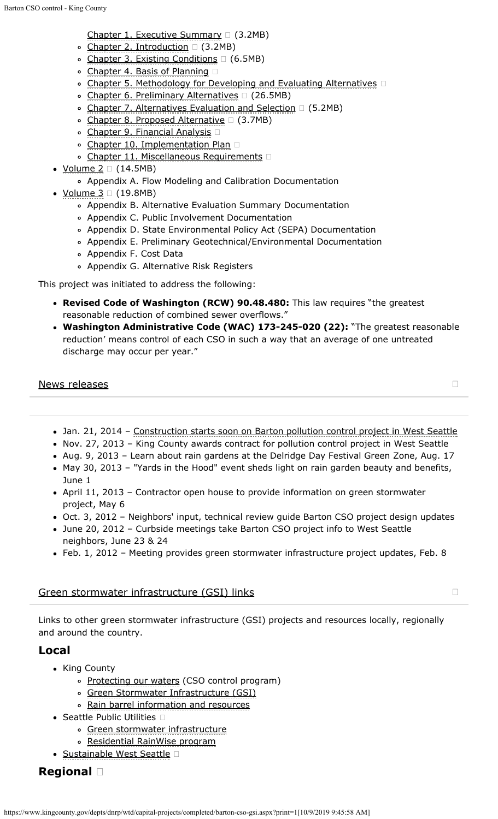- <span id="page-5-0"></span>[Chapter 1. Executive Summary](https://your.kingcounty.gov/dnrp/library/wastewater/wtd/construction/CSOBeach/TechDocs/FacilityPlans/WS/Draft/Ch01_WS.pdf)  $\Box$  (3.2MB)
- $\circ$  [Chapter 2. Introduction](https://your.kingcounty.gov/dnrp/library/wastewater/wtd/construction/CSOBeach/TechDocs/FacilityPlans/WS/Draft/Ch02_WS.pdf)  $\Box$  (3.2MB)
- $\circ$  [Chapter 3. Existing Conditions](https://your.kingcounty.gov/dnrp/library/wastewater/wtd/construction/CSOBeach/TechDocs/FacilityPlans/WS/Draft/Ch03_WS.pdf)  $\Box$  (6.5MB)
- [Chapter 4. Basis of Planning](https://your.kingcounty.gov/dnrp/library/wastewater/wtd/construction/CSOBeach/TechDocs/FacilityPlans/WS/Draft/Ch04_WS.pdf) □
- o [Chapter 5. Methodology for Developing and Evaluating Alternatives](https://your.kingcounty.gov/dnrp/library/wastewater/wtd/construction/CSOBeach/TechDocs/FacilityPlans/WS/Draft/Ch05_WS.pdf)
- ∘ [Chapter 6. Preliminary Alternatives](https://your.kingcounty.gov/dnrp/library/wastewater/wtd/construction/CSOBeach/TechDocs/FacilityPlans/WS/Draft/Ch06_WS.pdf) □ (26.5MB)
- [Chapter 7. Alternatives Evaluation and Selection](https://your.kingcounty.gov/dnrp/library/wastewater/wtd/construction/CSOBeach/TechDocs/FacilityPlans/WS/Draft/Ch07_WS.pdf) (5.2MB)
- $\circ$  [Chapter 8. Proposed Alternative](https://your.kingcounty.gov/dnrp/library/wastewater/wtd/construction/CSOBeach/TechDocs/FacilityPlans/WS/Draft/Ch08_WS.pdf)  $\Box$  (3.7MB)
- [Chapter 9. Financial Analysis](https://your.kingcounty.gov/dnrp/library/wastewater/wtd/construction/CSOBeach/TechDocs/FacilityPlans/WS/Draft/Ch09_WS.pdf)
- o [Chapter 10. Implementation Plan](https://your.kingcounty.gov/dnrp/library/wastewater/wtd/construction/CSOBeach/TechDocs/FacilityPlans/WS/Draft/Ch10_WS.pdf)
- o [Chapter 11. Miscellaneous Requirements](https://your.kingcounty.gov/dnrp/library/wastewater/wtd/construction/CSOBeach/TechDocs/FacilityPlans/WS/Draft/Ch11_WS.pdf)
- $\bullet$  <u>[Volume 2](https://your.kingcounty.gov/dnrp/library/wastewater/wtd/construction/CSOBeach/TechDocs/FacilityPlans/WS/Draft/1102_V2_AppendixA_Draft.pdf)</u>  $\Box$  (14.5MB)
	- Appendix A. Flow Modeling and Calibration Documentation
- $\bullet$  <u>[Volume 3](https://your.kingcounty.gov/dnrp/library/wastewater/wtd/construction/CSOBeach/TechDocs/FacilityPlans/WS/Draft/1102_V3_AppendixB-G_Draft.pdf)</u>  $\Box$  (19.8MB)
	- Appendix B. Alternative Evaluation Summary Documentation
	- Appendix C. Public Involvement Documentation
	- Appendix D. State Environmental Policy Act (SEPA) Documentation
	- Appendix E. Preliminary Geotechnical/Environmental Documentation
	- Appendix F. Cost Data
	- Appendix G. Alternative Risk Registers

This project was initiated to address the following:

- **Revised Code of Washington (RCW) 90.48.480:** This law requires "the greatest reasonable reduction of combined sewer overflows."
- **Washington Administrative Code (WAC) 173-245-020 (22):** "The greatest reasonable reduction' means control of each CSO in such a way that an average of one untreated discharge may occur per year."

#### <span id="page-5-1"></span>[News releases](#page-5-1) and the set of the set of the set of the set of the set of the set of the set of the set of the set of the set of the set of the set of the set of the set of the set of the set of the set of the set of the se

- 
- Jan. 21, 2014 [Construction starts soon on Barton pollution control project in West Seattle](https://www.kingcounty.gov/depts/dnrp/newsroom/newsreleases/2014/January/01-21-barton-meeting.aspx)
- Nov. 27, 2013 King County awards contract for pollution control project in West Seattle
- Aug. 9, 2013 Learn about rain gardens at the Delridge Day Festival Green Zone, Aug. 17
- May 30, 2013 "Yards in the Hood" event sheds light on rain garden beauty and benefits, June 1
- April 11, 2013 Contractor open house to provide information on green stormwater project, May 6
- Oct. 3, 2012 Neighbors' input, technical review guide Barton CSO project design updates
- June 20, 2012 Curbside meetings take Barton CSO project info to West Seattle neighbors, June 23 & 24
- Feb. 1, 2012 Meeting provides green stormwater infrastructure project updates, Feb. 8

### [Green stormwater infrastructure \(GSI\) links](#page-6-0)

Links to other green stormwater infrastructure (GSI) projects and resources locally, regionally and around the country.

### **Local**

- King County
	- [Protecting our waters](https://www.kingcounty.gov/services/environment/wastewater/cso.aspx) (CSO control program)
	- o [Green Stormwater Infrastructure \(GSI\)](https://www.kingcounty.gov/services/environment/wastewater/cso/about/natural.aspx)
	- o [Rain barrel information and resources](https://www.kingcounty.gov/services/environment/stewardship/nw-yard-and-garden/rain-barrels.aspx)
- Seattle Public Utilities  $\Box$ 
	- [Green stormwater infrastructure](http://www.seattle.gov/util/environmentconservation/projects/drainagesystem/greenstormwaterinfrastructure/)
	- [Residential RainWise program](http://www.seattle.gov/util/environmentconservation/projects/drainagesystem/greenstormwaterinfrastructure/residentialrainwise/)
- [Sustainable West Seattle](http://www.sustainablewestseattle.org/)

## **Regional**